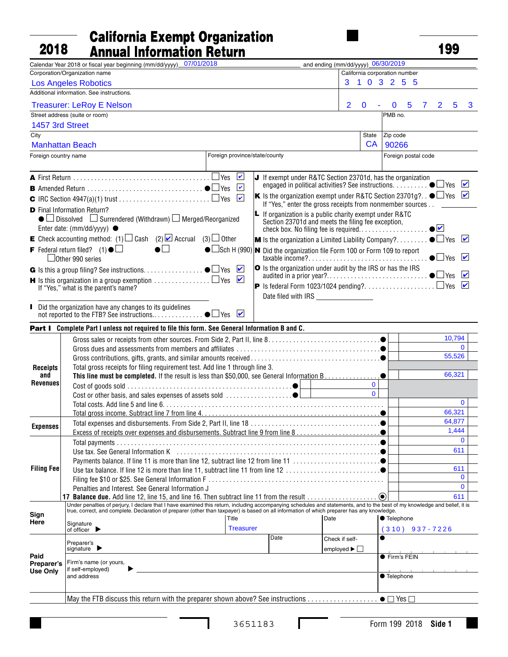## $\begin{array}{c|c}\n\hline\n\text{taxable} @ \text{ear} \\
\hline\n\end{array}\n\quad\n\begin{array}{c}\n\text{California Experiment Organization} \\
\text{Annual Information Return}\n\end{array}\n\quad\n\begin{array}{c}\n\hline\n\end{array}\n\qquad\n\begin{array}{c}\n\hline\n\end{array}\n\qquad\n\begin{array}{c}\n\hline\n\end{array}\n\qquad\qquad\n\begin{array}{c}\n\hline\n\end{array}\n\qquad\qquad\n\begin{array}{c}\n\hline\n\end{array}\n\qquad\qquad\n\begin{array}{c}\n\hline\n\end{array}\n\qquad\q$ 2018

| 2018                          | <b>Annual Information Return</b>                                                                                                                                                                                                                                       |                               |      |                                                                                                                               |                               | 199           |                           |
|-------------------------------|------------------------------------------------------------------------------------------------------------------------------------------------------------------------------------------------------------------------------------------------------------------------|-------------------------------|------|-------------------------------------------------------------------------------------------------------------------------------|-------------------------------|---------------|---------------------------|
|                               | Calendar Year 2018 or fiscal year beginning (mm/dd/yyyy) 07/01/2018                                                                                                                                                                                                    |                               |      | Land ending (mm/dd/yyyy) 06/30/2019                                                                                           |                               |               |                           |
|                               | Corporation/Organization name                                                                                                                                                                                                                                          |                               |      |                                                                                                                               | California corporation number |               |                           |
|                               | <b>Los Angeles Robotics</b>                                                                                                                                                                                                                                            |                               |      | 3                                                                                                                             | 1 0 3 2 5 5                   |               |                           |
|                               | Additional information. See instructions.                                                                                                                                                                                                                              |                               |      | f ein                                                                                                                         |                               |               |                           |
|                               | <b>Treasurer: LeRoy E Nelson</b>                                                                                                                                                                                                                                       |                               |      | $\overline{2}$<br>$\mathbf 0$                                                                                                 | $\mathbf 0$<br>5              | 5<br>2        | 3                         |
|                               | Street address (suite or room)                                                                                                                                                                                                                                         |                               |      |                                                                                                                               | PMB no.                       |               |                           |
| 1457 3rd Street               |                                                                                                                                                                                                                                                                        |                               |      |                                                                                                                               |                               |               |                           |
| City                          |                                                                                                                                                                                                                                                                        |                               |      | State                                                                                                                         | Zip code                      |               |                           |
|                               | <b>Manhattan Beach</b>                                                                                                                                                                                                                                                 |                               |      | CA                                                                                                                            | 90266                         |               |                           |
| Foreign country name          |                                                                                                                                                                                                                                                                        | Foreign province/state/county |      |                                                                                                                               | Foreign postal code           |               |                           |
|                               |                                                                                                                                                                                                                                                                        |                               |      | $\Box$ o. If exempt under R&TC Section 23701d, has the organization                                                           |                               |               |                           |
|                               |                                                                                                                                                                                                                                                                        | $\mathbf{v}_{\mathbf{a}}$     |      | engaged in political activities? See instructions. $\ldots \ldots \bullet \Box$ Les                                           |                               |               | $\mathbf{v}_{\mathbf{a}}$ |
|                               |                                                                                                                                                                                                                                                                        |                               |      | $\mathbb{Z}_{\mathbf{G}^{\bullet}} K$ is the organization exempt under R&TC Section 23701g? $\bullet\Box$ as $\Box$ $\bullet$ |                               |               |                           |
|                               |                                                                                                                                                                                                                                                                        |                               |      | If "Yes," enter the gross receipts from nonmember sources D@                                                                  |                               |               |                           |
|                               | <b>D</b> Final Information Return?<br>$\bullet$ Dissolved $\Box$ Surrendered (Withdrawn) $\Box$ Merged/Reorganized                                                                                                                                                     |                               |      | $\vert$ If organization is a public charity exempt under R&TC<br>Section 23701d and meets the filing fee exception,           |                               |               |                           |
|                               | Enter date: (mm/dd/yyyy) $\bullet \cdots \circledast \cdots \circledast \cdots$                                                                                                                                                                                        |                               |      | check box. No filing fee is required                                                                                          |                               | $\bullet$     |                           |
|                               | <b>E</b> Check accounting method: (1) $\Box$ Cash (2) $\Box$ Accrual (3) $\Box$ @ther                                                                                                                                                                                  |                               |      | <b>M</b> Is the organization a Limited Liability Company? $\bullet \Box$ es                                                   |                               |               | $ v _{\Omega}$            |
|                               | F Federal return filed? (1) $\circ$ $\circledR$ @YR @BR $\circledR$ @YPpf @BB $\bullet$ $\Box$ Sch H (990)  N Did the organization file Form 100 or Form 109 to report<br>HT @ Other 990 series                                                                        |                               |      |                                                                                                                               |                               | $\bigcup$ tes | $ v _{\omega}$            |
|                               |                                                                                                                                                                                                                                                                        |                               |      |                                                                                                                               |                               |               | $ v _{\Omega}$            |
|                               | <b>H</b> Is this organization in a group exemption $\ldots\ldots\ldots\ldots\Box$ Les<br>If "Yes," what is the parent's name?                                                                                                                                          | $\mathcal{L}$ @               |      |                                                                                                                               |                               |               | $ v _{\Omega}$            |
| @                             |                                                                                                                                                                                                                                                                        |                               |      |                                                                                                                               |                               |               |                           |
|                               |                                                                                                                                                                                                                                                                        |                               |      |                                                                                                                               |                               |               |                           |
|                               | Did the organization have any changes to its guidelines                                                                                                                                                                                                                |                               |      |                                                                                                                               |                               |               |                           |
|                               | Part I@Complete Part I unless not required to file this form. See General Information B and C.                                                                                                                                                                         |                               |      |                                                                                                                               |                               |               |                           |
|                               |                                                                                                                                                                                                                                                                        |                               |      |                                                                                                                               | Q                             | 10,794 PP     |                           |
|                               |                                                                                                                                                                                                                                                                        |                               |      |                                                                                                                               | $\mathsf{R}$                  |               | $0$  PP                   |
|                               |                                                                                                                                                                                                                                                                        |                               |      |                                                                                                                               | S                             | $55,526$  PP  |                           |
| <b>Receipts</b>               | T Total gross receipts for filing requirement test. Add line 1 through line 3.                                                                                                                                                                                         |                               |      |                                                                                                                               |                               |               |                           |
| and                           | This line must be completed. If the result is less than \$50,000, see General Information B.                                                                                                                                                                           |                               |      |                                                                                                                               | T<br>$\bullet$                | 66,321   $PP$ |                           |
| Revenues                      |                                                                                                                                                                                                                                                                        |                               |      |                                                                                                                               | $0$   PP                      |               |                           |
|                               |                                                                                                                                                                                                                                                                        |                               |      |                                                                                                                               | $0$   PP                      |               |                           |
|                               |                                                                                                                                                                                                                                                                        |                               |      |                                                                                                                               | W                             |               | $0$  PP                   |
|                               |                                                                                                                                                                                                                                                                        |                               |      |                                                                                                                               | $\mathsf{X}$                  | $66,321$  pp  | FЕ.                       |
| <b>Expenses</b>               |                                                                                                                                                                                                                                                                        |                               |      |                                                                                                                               | $\mathsf{Y}$                  | 64,877        | $\mathsf{P}\mathsf{P}$    |
|                               |                                                                                                                                                                                                                                                                        |                               |      |                                                                                                                               |                               | 1,444         | PP                        |
|                               |                                                                                                                                                                                                                                                                        |                               |      |                                                                                                                               | $\omega$                      | $\mathbf 0$   | PP                        |
|                               |                                                                                                                                                                                                                                                                        |                               |      |                                                                                                                               | $\mathbf Q$                   | 611           | <u> PP</u>                |
|                               | CS Payments balance. If line 11 is more than line 12, subtract line 12 from line 11 ●                                                                                                                                                                                  |                               |      |                                                                                                                               | $\infty$                      |               | $\overline{PP}$           |
|                               |                                                                                                                                                                                                                                                                        |                               |      |                                                                                                                               | ∣ <b>ਹਾ</b>                   | $\mathbf{0}$  | $611$ PP                  |
|                               |                                                                                                                                                                                                                                                                        |                               |      |                                                                                                                               | Q                             | $\mathbf{0}$  | <u>IPP</u>                |
|                               | $\alpha$ / Penalties and Interest. See General Information JMMMMMMMMMMMMMMMMMMMMMMMMMMM                                                                                                                                                                                |                               |      |                                                                                                                               |                               |               | <u> PP</u>                |
|                               | 17 Balance due. Add line 12, line 15, and line 16. Then subtract line 11 from the result<br>Under penalties of perjury, I declare that I have examined this return, including accompanying schedules and statements, and to the best of my knowledge and belief, it is |                               |      |                                                                                                                               | (●)∣QW                        |               | $611$  PP                 |
| Sign                          | true, correct, and complete. Declaration of preparer (other than taxpayer) is based on all information of which preparer has any knowledge.                                                                                                                            |                               |      |                                                                                                                               |                               |               |                           |
| Here                          | Signature                                                                                                                                                                                                                                                              | Title                         |      | Date                                                                                                                          | ● Telephone                   |               |                           |
|                               | of officer $\blacktriangleright$                                                                                                                                                                                                                                       | Treasurer                     |      |                                                                                                                               | HOBOGOOD) 937-7226            |               |                           |
|                               | Preparer's                                                                                                                                                                                                                                                             |                               | Date | Check if self-                                                                                                                | $\bullet$ pt in               |               |                           |
|                               | signature $\blacktriangleright$                                                                                                                                                                                                                                        |                               |      | employed $\blacktriangleright$ $\Box$                                                                                         |                               |               |                           |
| Paid                          | Firm's name (or yours,                                                                                                                                                                                                                                                 |                               |      |                                                                                                                               | <b>•</b> Firm's FEIN          |               |                           |
| Preparer's<br><b>Use Only</b> | if self-employed)                                                                                                                                                                                                                                                      |                               |      |                                                                                                                               |                               |               |                           |
|                               | and address                                                                                                                                                                                                                                                            |                               |      |                                                                                                                               | ● Telephone                   |               |                           |
|                               |                                                                                                                                                                                                                                                                        |                               |      |                                                                                                                               | $H$ @@@@                      |               |                           |
|                               |                                                                                                                                                                                                                                                                        |                               |      |                                                                                                                               |                               |               |                           |
|                               |                                                                                                                                                                                                                                                                        |                               |      |                                                                                                                               |                               |               |                           |

L

 $\Gamma$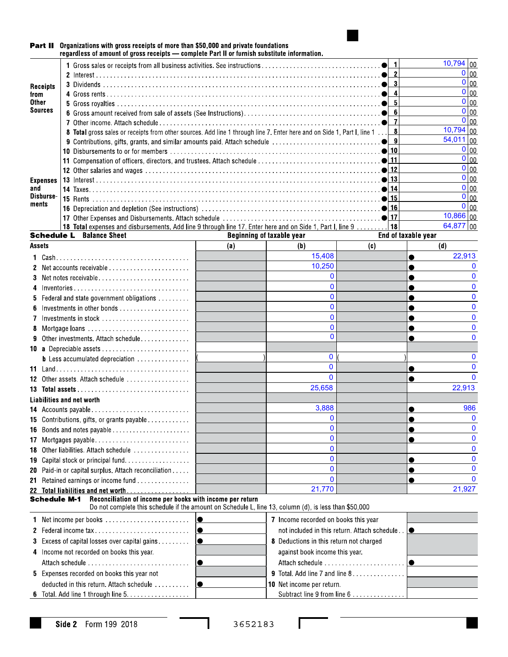

#### Part II Organizations with gross receipts of more than \$50,000 and private foundations regardless of amount of gross receipts — complete Part II or furnish substitute information.

|                     |                                                                                                                         |                                                                                                       |                                                     | $10,794$ 00                   |
|---------------------|-------------------------------------------------------------------------------------------------------------------------|-------------------------------------------------------------------------------------------------------|-----------------------------------------------------|-------------------------------|
|                     |                                                                                                                         |                                                                                                       |                                                     | 0 00                          |
| Receipts            |                                                                                                                         |                                                                                                       |                                                     | $0 _{00}$                     |
| from                |                                                                                                                         |                                                                                                       |                                                     | $\overline{0}\vert_{00}$      |
| Other               |                                                                                                                         |                                                                                                       |                                                     | $0 _{00}$                     |
| <b>Sources</b>      |                                                                                                                         |                                                                                                       |                                                     | $0 _{00}$                     |
|                     |                                                                                                                         |                                                                                                       | $\vert$ 7                                           | $0 _{00}$                     |
|                     | 8 Total gross sales or receipts from other sources. Add line 1 through line 7. Enter here and on Side 1, Part I, line 1 |                                                                                                       | - 8                                                 | $10,794$ 00                   |
|                     |                                                                                                                         |                                                                                                       |                                                     | $\sqrt{54,011}\big _{00}$     |
|                     |                                                                                                                         |                                                                                                       |                                                     | $0 _{00}$                     |
|                     |                                                                                                                         |                                                                                                       |                                                     | $0 _{00}$                     |
|                     |                                                                                                                         |                                                                                                       |                                                     | $0 _{00}$                     |
| Expenses            |                                                                                                                         |                                                                                                       |                                                     | $0 _{00}$                     |
| and                 |                                                                                                                         |                                                                                                       |                                                     | $0 _{00}$                     |
| Disburse-<br>ments  |                                                                                                                         |                                                                                                       |                                                     | $\overline{0}$ $\overline{0}$ |
|                     |                                                                                                                         |                                                                                                       |                                                     | $0 _{00}$                     |
|                     |                                                                                                                         |                                                                                                       |                                                     | $10,866$ 00                   |
|                     | 18 Total expenses and disbursements. Add line 9 through line 17. Enter here and on Side 1, Part I, line 9 18            |                                                                                                       |                                                     | $64,877$ 00                   |
|                     | <b>Schedule L</b> Balance Sheet                                                                                         | <b>Beginning of taxable year</b>                                                                      | End of taxable year                                 |                               |
| Assets              |                                                                                                                         | (a)<br>(b)                                                                                            | (c)                                                 | (d)                           |
|                     |                                                                                                                         | 15,408                                                                                                |                                                     | 22,913                        |
|                     | 2 Net accounts receivable                                                                                               | 10,250                                                                                                |                                                     |                               |
|                     | 3 Net notes receivable                                                                                                  |                                                                                                       | $\Omega$                                            |                               |
|                     | 4 Inventories                                                                                                           |                                                                                                       | $\Omega$                                            |                               |
|                     | <b>5</b> Federal and state government obligations                                                                       |                                                                                                       | $\mathbf{0}$                                        |                               |
|                     |                                                                                                                         |                                                                                                       | $\mathbf{0}$                                        |                               |
|                     | 7 Investments in stock                                                                                                  |                                                                                                       | $\mathbf{0}$                                        |                               |
|                     | 8 Mortgage loans                                                                                                        |                                                                                                       | $\Omega$                                            |                               |
|                     | 9 Other investments. Attach schedule                                                                                    |                                                                                                       | $\Omega$                                            |                               |
|                     | 10 a Depreciable assets                                                                                                 |                                                                                                       |                                                     |                               |
|                     |                                                                                                                         |                                                                                                       | $\mathbf{0}$                                        |                               |
|                     |                                                                                                                         |                                                                                                       | $\Omega$                                            |                               |
|                     | 12 Other assets. Attach schedule                                                                                        |                                                                                                       | $\Omega$                                            | ∩                             |
|                     |                                                                                                                         | 25,658                                                                                                |                                                     | 22,913                        |
|                     |                                                                                                                         |                                                                                                       |                                                     |                               |
|                     | Liabilities and net worth                                                                                               |                                                                                                       |                                                     |                               |
|                     |                                                                                                                         | 3,888                                                                                                 |                                                     | 986                           |
|                     | 15 Contributions, gifts, or grants payable                                                                              |                                                                                                       | $\mathbf 0$                                         | <sup>0</sup>                  |
|                     | 16 Bonds and notes payable                                                                                              |                                                                                                       |                                                     |                               |
|                     |                                                                                                                         |                                                                                                       | $\mathbf{0}$                                        |                               |
|                     | 18 Other liabilities. Attach schedule                                                                                   |                                                                                                       | $\mathbf 0$                                         |                               |
|                     | 19 Capital stock or principal fund                                                                                      |                                                                                                       | $\mathbf 0$                                         |                               |
|                     | 20 Paid-in or capital surplus. Attach reconciliation                                                                    |                                                                                                       | $\mathbf{0}$                                        | n                             |
|                     | 21 Retained earnings or income fund                                                                                     |                                                                                                       | $\Omega$                                            | $\Omega$                      |
|                     | 22 Total liabilities and net worth                                                                                      | 21,770                                                                                                |                                                     | 21,927                        |
| <b>Schedule M-1</b> | Reconciliation of income per books with income per return                                                               | Do not complete this schedule if the amount on Schedule L, line 13, column (d), is less than \$50,000 |                                                     |                               |
|                     |                                                                                                                         | 7 Income recorded on books this year                                                                  |                                                     |                               |
|                     |                                                                                                                         |                                                                                                       | not included in this return. Attach schedule $\Box$ |                               |
|                     |                                                                                                                         |                                                                                                       |                                                     |                               |
|                     | 3 Excess of capital losses over capital gains                                                                           |                                                                                                       | 8 Deductions in this return not charged             |                               |
|                     | 4 Income not recorded on books this year.                                                                               | against book income this year.                                                                        |                                                     |                               |
|                     | $\bullet$                                                                                                               |                                                                                                       |                                                     |                               |
|                     | 5 Expenses recorded on books this year not                                                                              |                                                                                                       | 9 Total. Add line 7 and line 8                      |                               |
|                     | deducted in this return. Attach schedule $\ldots \ldots \ldots$                                                         | 10 Net income per return.                                                                             |                                                     |                               |
|                     |                                                                                                                         |                                                                                                       | Subtract line 9 from line 6                         |                               |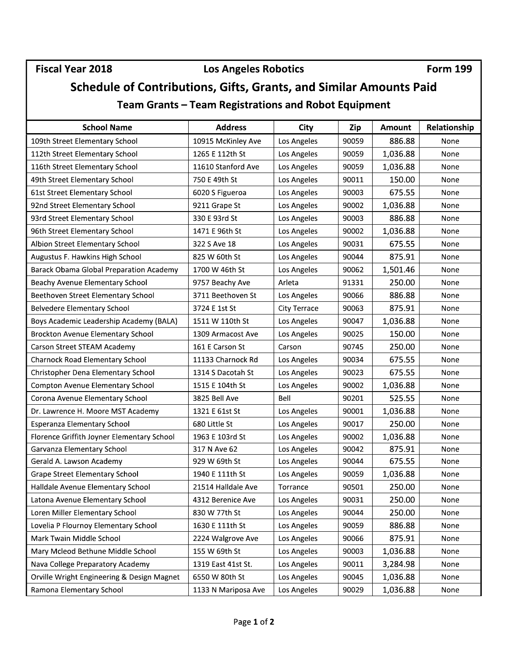### Fiscal Year 2018 **Los Angeles Robotics** Form 199

# Schedule of Contributions, Gifts, Grants, and Similar Amounts Paid

Team Grants — Team Registrations and Robot Equipment

| <b>School Name</b>                             | <b>Address</b>      | City         | Zip   | Amount   | Relationship |
|------------------------------------------------|---------------------|--------------|-------|----------|--------------|
| 109th Street Elementary School                 | 10915 McKinley Ave  | Los Angeles  | 90059 | 886.88   | None         |
| 112th Street Elementary School                 | 1265 E 112th St     | Los Angeles  | 90059 | 1,036.88 | None         |
| 116th Street Elementary School                 | 11610 Stanford Ave  | Los Angeles  | 90059 | 1,036.88 | None         |
| 49th Street Elementary School                  | 750 E 49th St       | Los Angeles  | 90011 | 150.00   | None         |
| 61st Street Elementary School                  | 6020 S Figueroa     | Los Angeles  | 90003 | 675.55   | None         |
| 92nd Street Elementary School                  | 9211 Grape St       | Los Angeles  | 90002 | 1,036.88 | None         |
| 93rd Street Elementary School                  | 330 E 93rd St       | Los Angeles  | 90003 | 886.88   | None         |
| 96th Street Elementary School                  | 1471 E 96th St      | Los Angeles  | 90002 | 1,036.88 | None         |
| Albion Street Elementary School                | 322 S Ave 18        | Los Angeles  | 90031 | 675.55   | None         |
| Augustus F. Hawkins High School                | 825 W 60th St       | Los Angeles  | 90044 | 875.91   | None         |
| <b>Barack Obama Global Preparation Academy</b> | 1700 W 46th St      | Los Angeles  | 90062 | 1,501.46 | None         |
| Beachy Avenue Elementary School                | 9757 Beachy Ave     | Arleta       | 91331 | 250.00   | None         |
| Beethoven Street Elementary School             | 3711 Beethoven St   | Los Angeles  | 90066 | 886.88   | None         |
| <b>Belvedere Elementary School</b>             | 3724 E 1st St       | City Terrace | 90063 | 875.91   | None         |
| Boys Academic Leadership Academy (BALA)        | 1511 W 110th St     | Los Angeles  | 90047 | 1,036.88 | None         |
| <b>Brockton Avenue Elementary School</b>       | 1309 Armacost Ave   | Los Angeles  | 90025 | 150.00   | None         |
| Carson Street STEAM Academy                    | 161 E Carson St     | Carson       | 90745 | 250.00   | None         |
| <b>Charnock Road Elementary School</b>         | 11133 Charnock Rd   | Los Angeles  | 90034 | 675.55   | None         |
| Christopher Dena Elementary School             | 1314 S Dacotah St   | Los Angeles  | 90023 | 675.55   | None         |
| <b>Compton Avenue Elementary School</b>        | 1515 E 104th St     | Los Angeles  | 90002 | 1,036.88 | None         |
| Corona Avenue Elementary School                | 3825 Bell Ave       | Bell         | 90201 | 525.55   | None         |
| Dr. Lawrence H. Moore MST Academy              | 1321 E 61st St      | Los Angeles  | 90001 | 1,036.88 | None         |
| Esperanza Elementary School                    | 680 Little St       | Los Angeles  | 90017 | 250.00   | None         |
| Florence Griffith Joyner Elementary School     | 1963 E 103rd St     | Los Angeles  | 90002 | 1,036.88 | None         |
| Garvanza Elementary School                     | 317 N Ave 62        | Los Angeles  | 90042 | 875.91   | None         |
| Gerald A. Lawson Academy                       | 929 W 69th St       | Los Angeles  | 90044 | 675.55   | None         |
| <b>Grape Street Elementary School</b>          | 1940 E 111th St     | Los Angeles  | 90059 | 1,036.88 | None         |
| Halldale Avenue Elementary School              | 21514 Halldale Ave  | Torrance     | 90501 | 250.00   | None         |
| Latona Avenue Elementary School                | 4312 Berenice Ave   | Los Angeles  | 90031 | 250.00   | None         |
| Loren Miller Elementary School                 | 830 W 77th St       | Los Angeles  | 90044 | 250.00   | None         |
| Lovelia P Flournoy Elementary School           | 1630 E 111th St     | Los Angeles  | 90059 | 886.88   | None         |
| Mark Twain Middle School                       | 2224 Walgrove Ave   | Los Angeles  | 90066 | 875.91   | None         |
| Mary Mcleod Bethune Middle School              | 155 W 69th St       | Los Angeles  | 90003 | 1,036.88 | None         |
| Nava College Preparatory Academy               | 1319 East 41st St.  | Los Angeles  | 90011 | 3,284.98 | None         |
| Orville Wright Engineering & Design Magnet     | 6550 W 80th St      | Los Angeles  | 90045 | 1,036.88 | None         |
| Ramona Elementary School                       | 1133 N Mariposa Ave | Los Angeles  | 90029 | 1,036.88 | None         |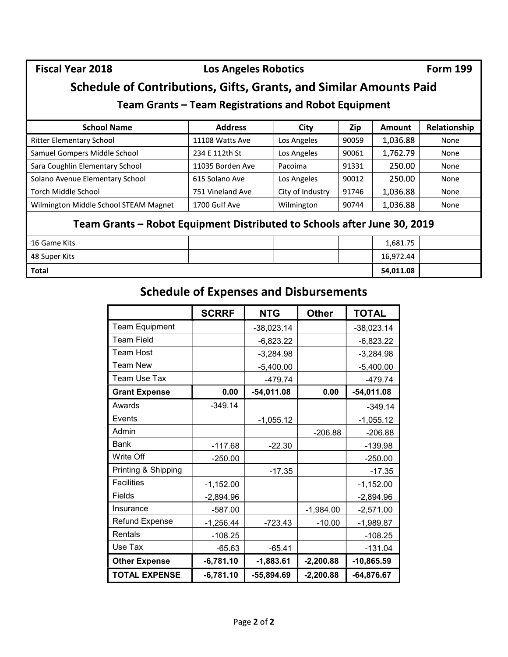#### Fiscal Year 2018 **Los Angeles Robotics** Form 199

## Schedule of Contributions, Gifts, Grants, and Similar Amounts Paid

#### Team Grants — Team Registrations and Robot Equipment

|                                        | Team Grants – Team Registrations and Robot Equipment |                |              |                  |       |                                    |              |
|----------------------------------------|------------------------------------------------------|----------------|--------------|------------------|-------|------------------------------------|--------------|
| <b>School Name</b>                     |                                                      | <b>Address</b> |              | <b>City</b>      | Zip   | Amount                             | Relationship |
| <b>Ritter Elementary School</b>        | 11108 Watts Ave                                      |                | Los Angeles  |                  | 90059 | 1,036.88                           | None         |
| Samuel Gompers Middle School           | 234 E 112th St                                       |                | Los Angeles  |                  | 90061 | 1,762.79                           | None         |
| Sara Coughlin Elementary School        | 11035 Borden Ave                                     |                | Pacoima      |                  | 91331 | 250.00                             | None         |
| Solano Avenue Elementary School        | 615 Solano Ave                                       |                | Los Angeles  |                  | 90012 | 250.00                             | None         |
| Torch Middle School                    | 751 Vineland Ave                                     |                |              | City of Industry | 91746 | 1,036.88                           | None         |
| Wilmington Middle School STEAM Magnet  | 1700 Gulf Ave                                        |                | Wilmington   |                  | 90744 | 1,036.88                           | None         |
| 16 Game Kits<br>48 Super Kits<br>Total | <b>Schedule of Expenses and Disbursements</b>        |                |              |                  |       | 1,681.75<br>16,972.44<br>54,011.08 |              |
|                                        | <b>SCRRF</b>                                         |                | <b>NTG</b>   | <b>Other</b>     |       | <b>TOTAL</b>                       |              |
| <b>Team Equipment</b>                  |                                                      |                | $-38,023.14$ |                  |       | $-38,023.14$                       |              |
| Team Field                             |                                                      |                | $-6,823.22$  |                  |       | $-6,823.22$                        |              |
| Team Host                              |                                                      |                | $-3,284.98$  |                  |       | $-3,284.98$                        |              |
| Team New                               |                                                      |                | $-5,400.00$  |                  |       | $-5,400.00$                        |              |
| Team Use Tax                           |                                                      |                | $-479.74$    |                  |       | $-479.74$                          |              |
| <b>Grant Expense</b>                   |                                                      | 0.00           | $-54,011.08$ | 0.00             |       | $-54,011.08$                       |              |

#### Team Grants — Robot Equipment Distributed to Schools after June 30, 2019

| 16 Game Kits  |  | 1,681.75  |  |
|---------------|--|-----------|--|
| 48 Super Kits |  | 16,972.44 |  |
| <b>Total</b>  |  | 54,011.08 |  |

## Schedule of Expenses and Disbursements

| Jo                                                                  | 11108 Watts Ave                               |              | Los Angeles      | 90059        | 1,036.88     | None |
|---------------------------------------------------------------------|-----------------------------------------------|--------------|------------------|--------------|--------------|------|
| lle School                                                          | 234 E 112th St                                |              | Los Angeles      | 90061        | 1,762.79     | None |
| ary School                                                          | 11035 Borden Ave                              | Pacoima      |                  | 91331        | 250.00       | None |
| tary School                                                         | 615 Solano Ave                                |              | Los Angeles      | 90012        | 250.00       | None |
|                                                                     | 751 Vineland Ave                              |              | City of Industry | 91746        | 1,036.88     | None |
| hool STEAM Magnet                                                   | 1700 Gulf Ave                                 |              | Wilmington       | 90744        | 1,036.88     | None |
| Grants – Robot Equipment Distributed to Schools after June 30, 2019 |                                               |              |                  |              | 1,681.75     |      |
|                                                                     |                                               |              |                  |              | 16,972.44    |      |
|                                                                     |                                               |              |                  |              |              |      |
|                                                                     |                                               |              |                  |              | 54,011.08    |      |
|                                                                     | <b>Schedule of Expenses and Disbursements</b> |              |                  |              |              |      |
|                                                                     | <b>SCRRF</b>                                  | <b>NTG</b>   | <b>Other</b>     | <b>TOTAL</b> |              |      |
| <b>Team Equipment</b>                                               |                                               | $-38,023.14$ |                  |              | $-38,023.14$ |      |
| <b>Team Field</b>                                                   |                                               | $-6,823.22$  |                  |              | $-6,823.22$  |      |
| <b>Team Host</b>                                                    |                                               | $-3,284.98$  |                  |              | $-3,284.98$  |      |
| <b>Team New</b>                                                     |                                               | $-5,400.00$  |                  |              | $-5,400.00$  |      |
| Team Use Tax                                                        |                                               | $-479.74$    |                  |              | $-479.74$    |      |
| <b>Grant Expense</b>                                                | 0.00                                          | $-54,011.08$ | 0.00             |              | $-54,011.08$ |      |
| Awards                                                              | $-349.14$                                     |              |                  |              | $-349.14$    |      |
| Events                                                              |                                               | $-1,055.12$  |                  |              | $-1,055.12$  |      |
| Admin                                                               |                                               |              | $-206.88$        |              | $-206.88$    |      |
| <b>Bank</b>                                                         | $-117.68$                                     | $-22.30$     |                  |              | $-139.98$    |      |
| Write Off                                                           | $-250.00$                                     |              |                  |              | $-250.00$    |      |
| Printing & Shipping                                                 |                                               | $-17.35$     |                  |              | $-17.35$     |      |
| Facilities                                                          | $-1,152.00$                                   |              |                  |              | $-1,152.00$  |      |
| Fields                                                              | $-2,894.96$                                   |              |                  |              | $-2,894.96$  |      |
| Insurance                                                           | $-587.00$                                     |              | $-1,984.00$      |              | $-2,571.00$  |      |
| <b>Refund Expense</b>                                               | $-1,256.44$                                   | $-723.43$    | $-10.00$         |              | $-1,989.87$  |      |
| Rentals                                                             | $-108.25$                                     |              |                  |              | $-108.25$    |      |
| Use Tax                                                             | $-65.63$                                      | $-65.41$     |                  |              | $-131.04$    |      |
|                                                                     |                                               | $-1,883.61$  | $-2,200.88$      |              | $-10,865.59$ |      |
| <b>Other Expense</b>                                                | $-6,781.10$                                   |              |                  |              |              |      |